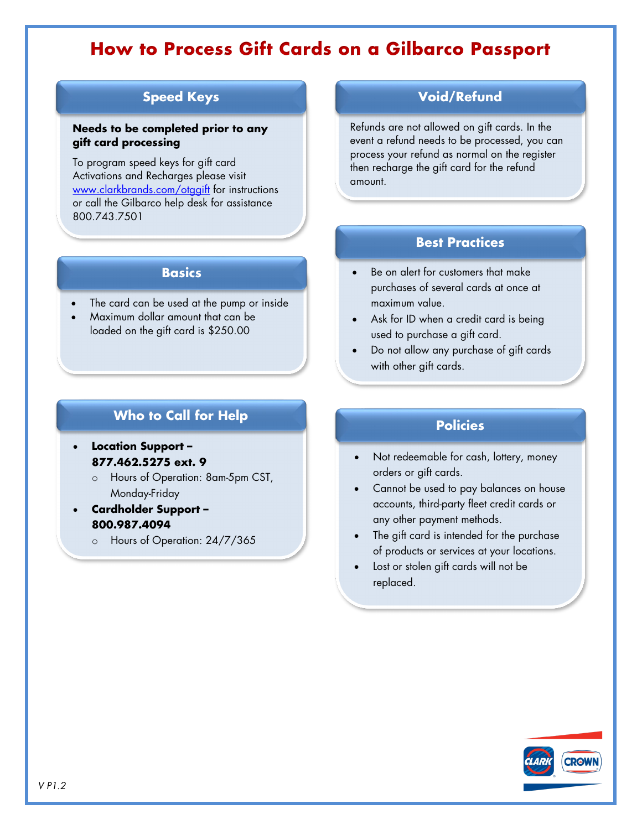# **How to Process Gift Cards on a Gilbarco Passport**

### **Speed Keys**

#### **Needs to be completed prior to any gift card processing**

To program speed keys for gift card Activations and Recharges please visit [www.clarkbrands.com/otggift](http://www.clarkbrands.com/otggift) for instructions or call the Gilbarco help desk for assistance 800.743.7501

#### **Basics**

- The card can be used at the pump or inside
- Maximum dollar amount that can be loaded on the gift card is \$250.00

### **Who to Call for Help**

- **Location Support – 877.462.5275 ext. 9**
	- o Hours of Operation: 8am-5pm CST, Monday-Friday
- **Cardholder Support – 800.987.4094**
	- o Hours of Operation: 24/7/365

#### **Void/Refund**

Refunds are not allowed on gift cards. In the event a refund needs to be processed, you can process your refund as normal on the register then recharge the gift card for the refund amount.

#### **Best Practices**

- Be on alert for customers that make purchases of several cards at once at maximum value.
- Ask for ID when a credit card is being used to purchase a gift card.
- Do not allow any purchase of gift cards with other gift cards.

#### **Policies**

- Not redeemable for cash, lottery, money orders or gift cards.
- Cannot be used to pay balances on house accounts, third-party fleet credit cards or any other payment methods.
- The gift card is intended for the purchase of products or services at your locations.
- Lost or stolen gift cards will not be replaced.